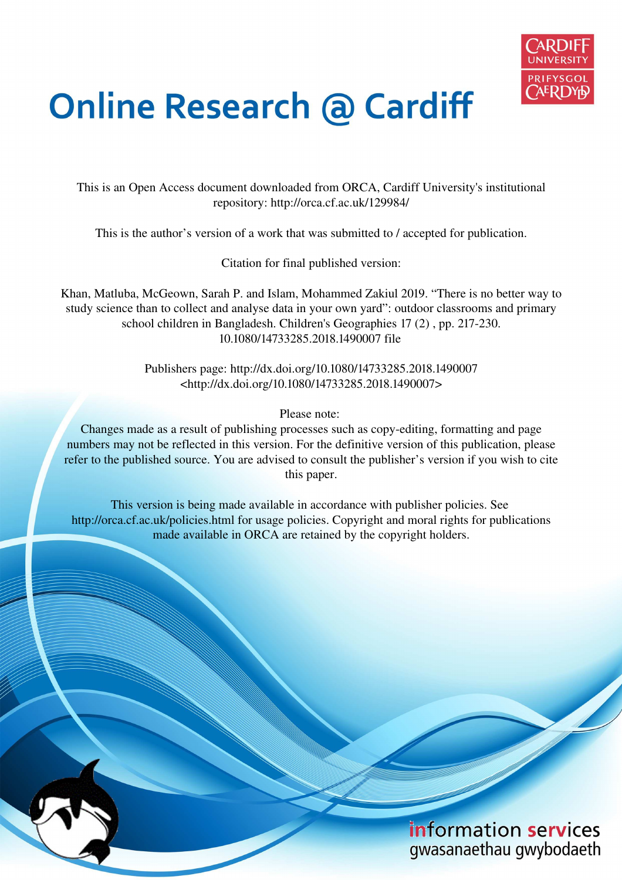

# **Online Research @ Cardiff**

This is an Open Access document downloaded from ORCA, Cardiff University's institutional repository: http://orca.cf.ac.uk/129984/

This is the author's version of a work that was submitted to / accepted for publication.

Citation for final published version:

Khan, Matluba, McGeown, Sarah P. and Islam, Mohammed Zakiul 2019. "There is no better way to study science than to collect and analyse data in your own yard": outdoor classrooms and primary school children in Bangladesh. Children's Geographies 17 (2) , pp. 217-230. 10.1080/14733285.2018.1490007 file

> Publishers page: http://dx.doi.org/10.1080/14733285.2018.1490007 <http://dx.doi.org/10.1080/14733285.2018.1490007>

> > Please note:

Changes made as a result of publishing processes such as copy-editing, formatting and page numbers may not be reflected in this version. For the definitive version of this publication, please refer to the published source. You are advised to consult the publisher's version if you wish to cite this paper.

This version is being made available in accordance with publisher policies. See http://orca.cf.ac.uk/policies.html for usage policies. Copyright and moral rights for publications made available in ORCA are retained by the copyright holders.

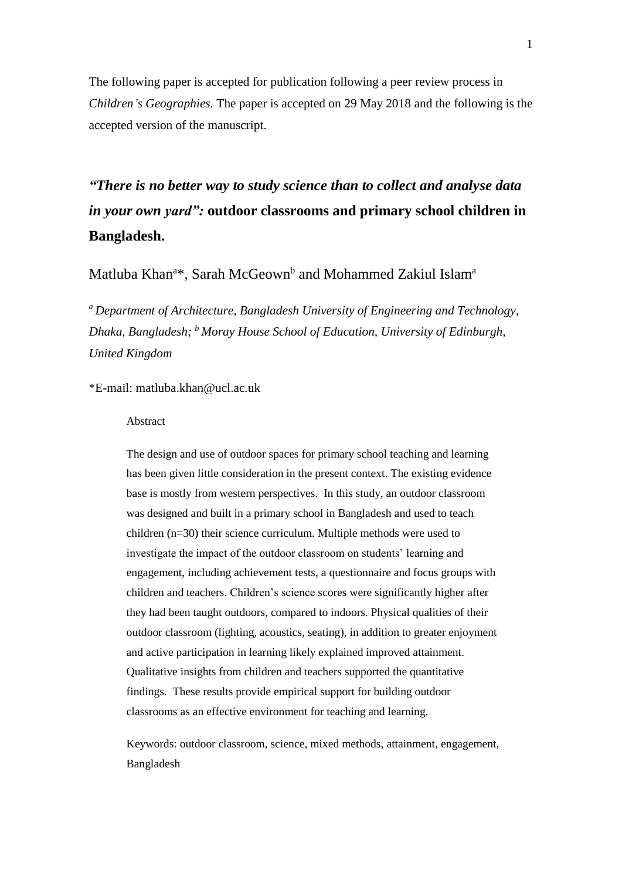The following paper is accepted for publication following a peer review process in *Children's Geographies.* The paper is accepted on 29 May 2018 and the following is the accepted version of the manuscript.

# *"There is no better way to study science than to collect and analyse data in your own yard":* **outdoor classrooms and primary school children in Bangladesh.**

Matluba Khan<sup>a\*</sup>, Sarah McGeown<sup>b</sup> and Mohammed Zakiul Islam<sup>a</sup>

*<sup>a</sup>Department of Architecture, Bangladesh University of Engineering and Technology, Dhaka, Bangladesh; <sup>b</sup>Moray House School of Education, University of Edinburgh, United Kingdom* 

\*E-mail: matluba.khan@ucl.ac.uk

#### Abstract

The design and use of outdoor spaces for primary school teaching and learning has been given little consideration in the present context. The existing evidence base is mostly from western perspectives. In this study, an outdoor classroom was designed and built in a primary school in Bangladesh and used to teach children (n=30) their science curriculum. Multiple methods were used to investigate the impact of the outdoor classroom on students' learning and engagement, including achievement tests, a questionnaire and focus groups with children and teachers. Children's science scores were significantly higher after they had been taught outdoors, compared to indoors. Physical qualities of their outdoor classroom (lighting, acoustics, seating), in addition to greater enjoyment and active participation in learning likely explained improved attainment. Qualitative insights from children and teachers supported the quantitative findings. These results provide empirical support for building outdoor classrooms as an effective environment for teaching and learning.

Keywords: outdoor classroom, science, mixed methods, attainment, engagement, Bangladesh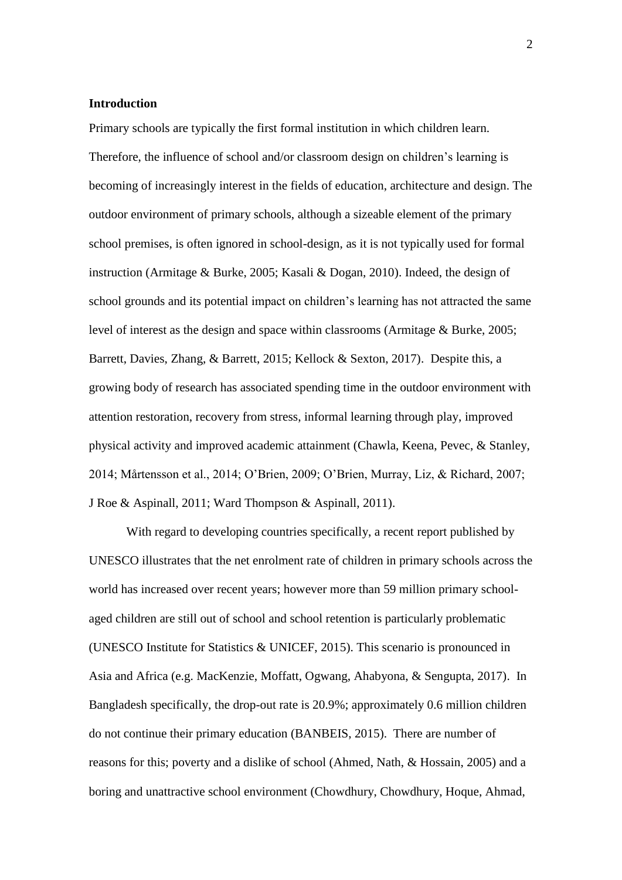# **Introduction**

Primary schools are typically the first formal institution in which children learn. Therefore, the influence of school and/or classroom design on children's learning is becoming of increasingly interest in the fields of education, architecture and design. The outdoor environment of primary schools, although a sizeable element of the primary school premises, is often ignored in school-design, as it is not typically used for formal instruction (Armitage & Burke, 2005; Kasali & Dogan, 2010). Indeed, the design of school grounds and its potential impact on children's learning has not attracted the same level of interest as the design and space within classrooms (Armitage & Burke, 2005; Barrett, Davies, Zhang, & Barrett, 2015; Kellock & Sexton, 2017). Despite this, a growing body of research has associated spending time in the outdoor environment with attention restoration, recovery from stress, informal learning through play, improved physical activity and improved academic attainment (Chawla, Keena, Pevec, & Stanley, 2014; Mårtensson et al., 2014; O'Brien, 2009; O'Brien, Murray, Liz, & Richard, 2007; J Roe & Aspinall, 2011; Ward Thompson & Aspinall, 2011).

With regard to developing countries specifically, a recent report published by UNESCO illustrates that the net enrolment rate of children in primary schools across the world has increased over recent years; however more than 59 million primary schoolaged children are still out of school and school retention is particularly problematic (UNESCO Institute for Statistics & UNICEF, 2015). This scenario is pronounced in Asia and Africa (e.g. MacKenzie, Moffatt, Ogwang, Ahabyona, & Sengupta, 2017). In Bangladesh specifically, the drop-out rate is 20.9%; approximately 0.6 million children do not continue their primary education (BANBEIS, 2015). There are number of reasons for this; poverty and a dislike of school (Ahmed, Nath, & Hossain, 2005) and a boring and unattractive school environment (Chowdhury, Chowdhury, Hoque, Ahmad,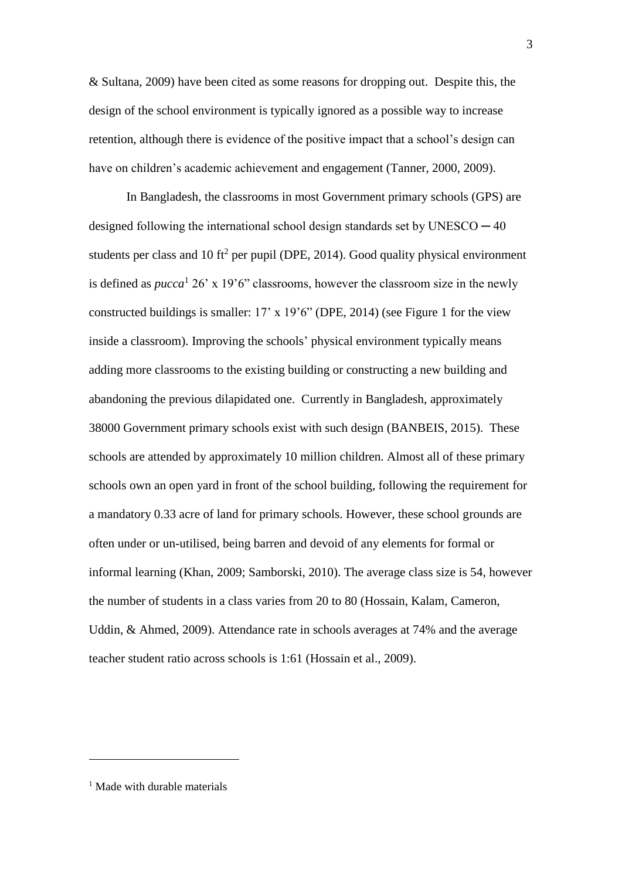& Sultana, 2009) have been cited as some reasons for dropping out. Despite this, the design of the school environment is typically ignored as a possible way to increase retention, although there is evidence of the positive impact that a school's design can have on children's academic achievement and engagement (Tanner, 2000, 2009).

In Bangladesh, the classrooms in most Government primary schools (GPS) are designed following the international school design standards set by UNESCO  $-40$ students per class and 10 ft<sup>2</sup> per pupil (DPE, 2014). Good quality physical environment is defined as *pucca*<sup>1</sup> 26' x 19'6" classrooms, however the classroom size in the newly constructed buildings is smaller: 17' x 19'6" (DPE, 2014) (see Figure 1 for the view inside a classroom). Improving the schools' physical environment typically means adding more classrooms to the existing building or constructing a new building and abandoning the previous dilapidated one. Currently in Bangladesh, approximately 38000 Government primary schools exist with such design (BANBEIS, 2015). These schools are attended by approximately 10 million children. Almost all of these primary schools own an open yard in front of the school building, following the requirement for a mandatory 0.33 acre of land for primary schools. However, these school grounds are often under or un-utilised, being barren and devoid of any elements for formal or informal learning (Khan, 2009; Samborski, 2010). The average class size is 54, however the number of students in a class varies from 20 to 80 (Hossain, Kalam, Cameron, Uddin, & Ahmed, 2009). Attendance rate in schools averages at 74% and the average teacher student ratio across schools is 1:61 (Hossain et al., 2009).

-

<sup>&</sup>lt;sup>1</sup> Made with durable materials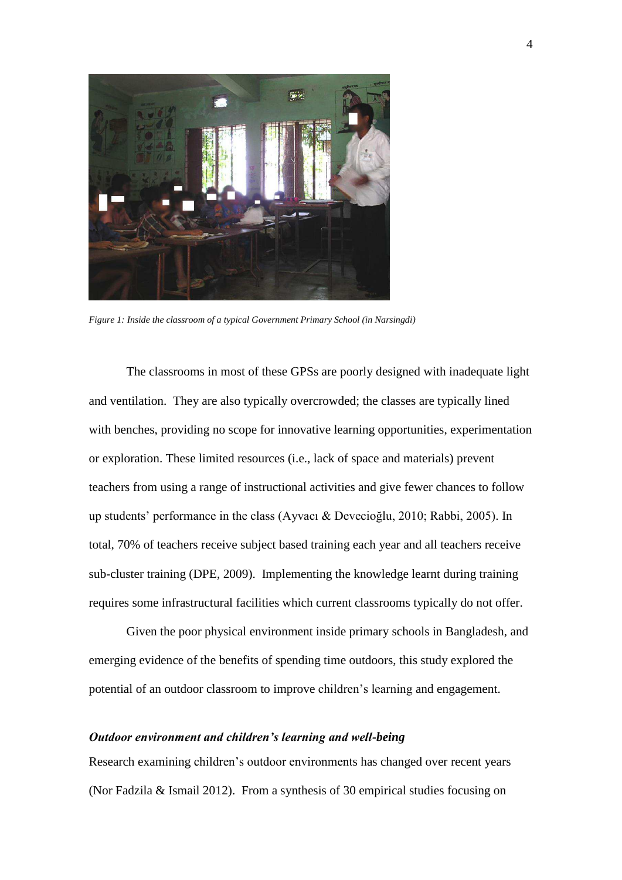

*Figure 1: Inside the classroom of a typical Government Primary School (in Narsingdi)* 

The classrooms in most of these GPSs are poorly designed with inadequate light and ventilation. They are also typically overcrowded; the classes are typically lined with benches, providing no scope for innovative learning opportunities, experimentation or exploration. These limited resources (i.e., lack of space and materials) prevent teachers from using a range of instructional activities and give fewer chances to follow up students' performance in the class (Ayvacı & Devecioğlu, 2010; Rabbi, 2005). In total, 70% of teachers receive subject based training each year and all teachers receive sub-cluster training (DPE, 2009). Implementing the knowledge learnt during training requires some infrastructural facilities which current classrooms typically do not offer.

Given the poor physical environment inside primary schools in Bangladesh, and emerging evidence of the benefits of spending time outdoors, this study explored the potential of an outdoor classroom to improve children's learning and engagement.

# *Outdoor environment and children's learning and well-being*

Research examining children's outdoor environments has changed over recent years (Nor Fadzila & Ismail 2012). From a synthesis of 30 empirical studies focusing on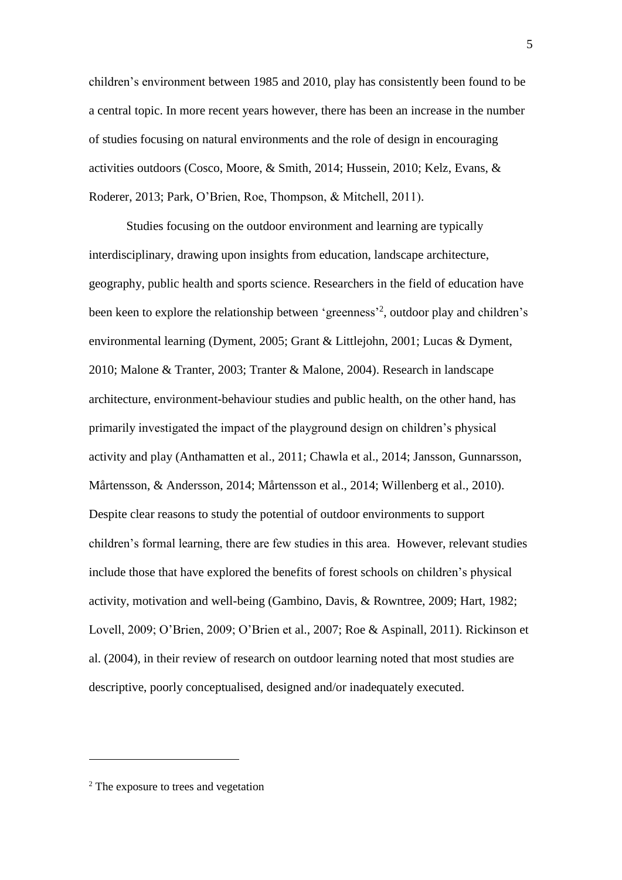children's environment between 1985 and 2010, play has consistently been found to be a central topic. In more recent years however, there has been an increase in the number of studies focusing on natural environments and the role of design in encouraging activities outdoors (Cosco, Moore, & Smith, 2014; Hussein, 2010; Kelz, Evans, & Roderer, 2013; Park, O'Brien, Roe, Thompson, & Mitchell, 2011).

Studies focusing on the outdoor environment and learning are typically interdisciplinary, drawing upon insights from education, landscape architecture, geography, public health and sports science. Researchers in the field of education have been keen to explore the relationship between 'greenness'<sup>2</sup>, outdoor play and children's environmental learning (Dyment, 2005; Grant & Littlejohn, 2001; Lucas & Dyment, 2010; Malone & Tranter, 2003; Tranter & Malone, 2004). Research in landscape architecture, environment-behaviour studies and public health, on the other hand, has primarily investigated the impact of the playground design on children's physical activity and play (Anthamatten et al., 2011; Chawla et al., 2014; Jansson, Gunnarsson, Mårtensson, & Andersson, 2014; Mårtensson et al., 2014; Willenberg et al., 2010). Despite clear reasons to study the potential of outdoor environments to support children's formal learning, there are few studies in this area. However, relevant studies include those that have explored the benefits of forest schools on children's physical activity, motivation and well-being (Gambino, Davis, & Rowntree, 2009; Hart, 1982; Lovell, 2009; O'Brien, 2009; O'Brien et al., 2007; Roe & Aspinall, 2011). Rickinson et al. (2004), in their review of research on outdoor learning noted that most studies are descriptive, poorly conceptualised, designed and/or inadequately executed.

-

<sup>2</sup> The exposure to trees and vegetation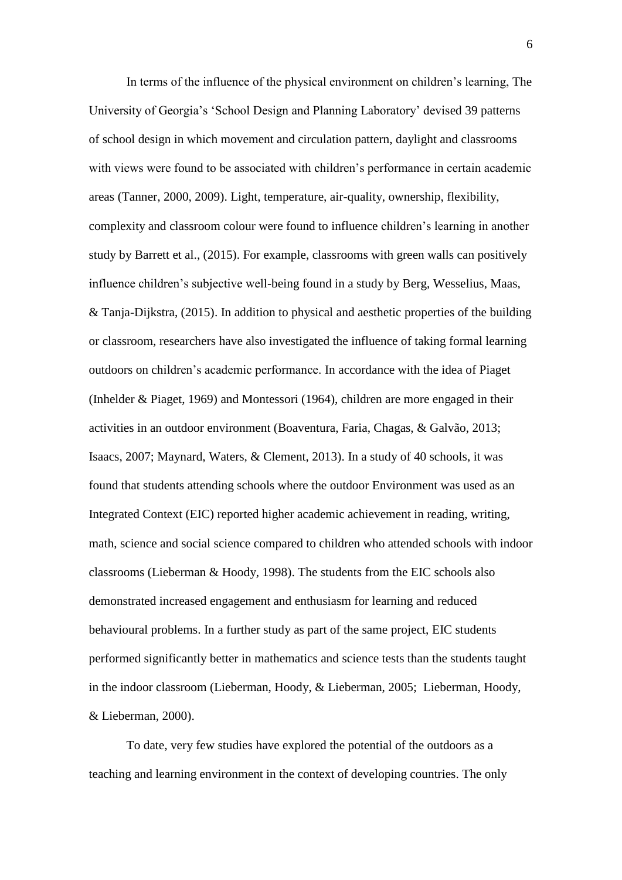In terms of the influence of the physical environment on children's learning, The University of Georgia's 'School Design and Planning Laboratory' devised 39 patterns of school design in which movement and circulation pattern, daylight and classrooms with views were found to be associated with children's performance in certain academic areas (Tanner, 2000, 2009). Light, temperature, air-quality, ownership, flexibility, complexity and classroom colour were found to influence children's learning in another study by Barrett et al., (2015). For example, classrooms with green walls can positively influence children's subjective well-being found in a study by Berg, Wesselius, Maas, & Tanja-Dijkstra, (2015). In addition to physical and aesthetic properties of the building or classroom, researchers have also investigated the influence of taking formal learning outdoors on children's academic performance. In accordance with the idea of Piaget (Inhelder & Piaget, 1969) and Montessori (1964), children are more engaged in their activities in an outdoor environment (Boaventura, Faria, Chagas, & Galvão, 2013; Isaacs, 2007; Maynard, Waters, & Clement, 2013). In a study of 40 schools, it was found that students attending schools where the outdoor Environment was used as an Integrated Context (EIC) reported higher academic achievement in reading, writing, math, science and social science compared to children who attended schools with indoor classrooms (Lieberman & Hoody, 1998). The students from the EIC schools also demonstrated increased engagement and enthusiasm for learning and reduced behavioural problems. In a further study as part of the same project, EIC students performed significantly better in mathematics and science tests than the students taught in the indoor classroom (Lieberman, Hoody, & Lieberman, 2005; Lieberman, Hoody, & Lieberman, 2000).

To date, very few studies have explored the potential of the outdoors as a teaching and learning environment in the context of developing countries. The only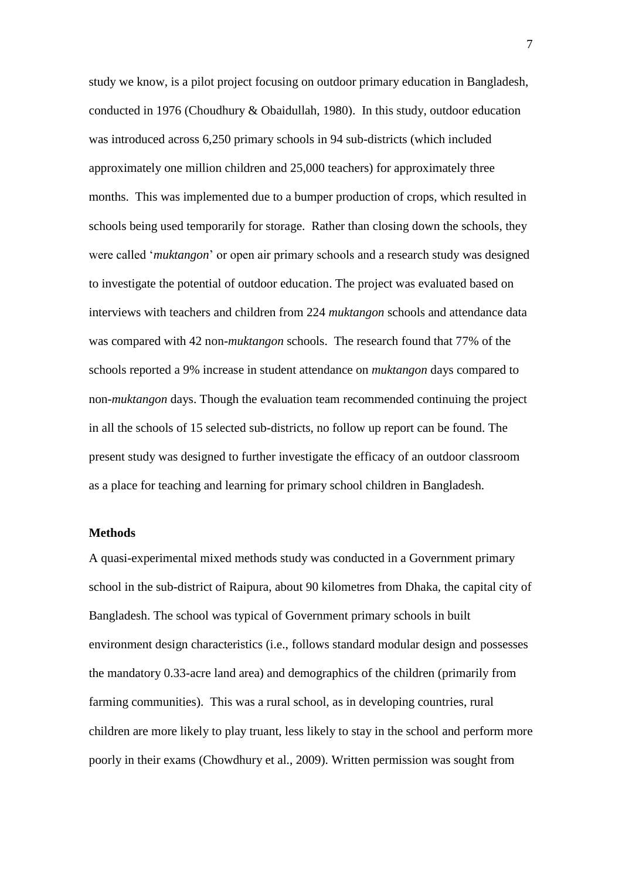study we know, is a pilot project focusing on outdoor primary education in Bangladesh, conducted in 1976 (Choudhury & Obaidullah, 1980). In this study, outdoor education was introduced across 6,250 primary schools in 94 sub-districts (which included approximately one million children and 25,000 teachers) for approximately three months. This was implemented due to a bumper production of crops, which resulted in schools being used temporarily for storage. Rather than closing down the schools, they were called '*muktangon*' or open air primary schools and a research study was designed to investigate the potential of outdoor education. The project was evaluated based on interviews with teachers and children from 224 *muktangon* schools and attendance data was compared with 42 non-*muktangon* schools. The research found that 77% of the schools reported a 9% increase in student attendance on *muktangon* days compared to non-*muktangon* days. Though the evaluation team recommended continuing the project in all the schools of 15 selected sub-districts, no follow up report can be found. The present study was designed to further investigate the efficacy of an outdoor classroom as a place for teaching and learning for primary school children in Bangladesh.

#### **Methods**

A quasi-experimental mixed methods study was conducted in a Government primary school in the sub-district of Raipura, about 90 kilometres from Dhaka, the capital city of Bangladesh. The school was typical of Government primary schools in built environment design characteristics (i.e., follows standard modular design and possesses the mandatory 0.33-acre land area) and demographics of the children (primarily from farming communities). This was a rural school, as in developing countries, rural children are more likely to play truant, less likely to stay in the school and perform more poorly in their exams (Chowdhury et al., 2009). Written permission was sought from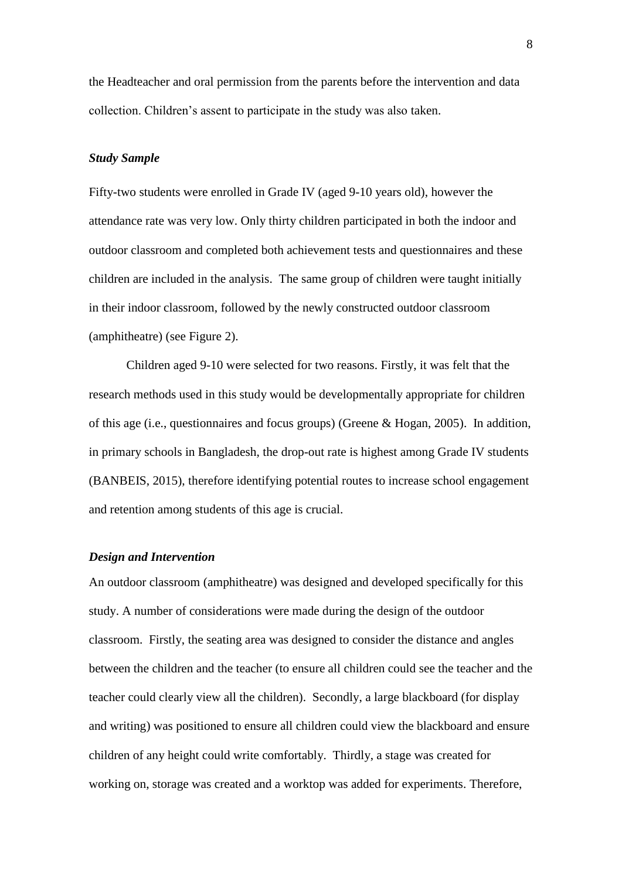the Headteacher and oral permission from the parents before the intervention and data collection. Children's assent to participate in the study was also taken.

#### *Study Sample*

Fifty-two students were enrolled in Grade IV (aged 9-10 years old), however the attendance rate was very low. Only thirty children participated in both the indoor and outdoor classroom and completed both achievement tests and questionnaires and these children are included in the analysis. The same group of children were taught initially in their indoor classroom, followed by the newly constructed outdoor classroom (amphitheatre) (see Figure 2).

Children aged 9-10 were selected for two reasons. Firstly, it was felt that the research methods used in this study would be developmentally appropriate for children of this age (i.e., questionnaires and focus groups) (Greene & Hogan, 2005). In addition, in primary schools in Bangladesh, the drop-out rate is highest among Grade IV students (BANBEIS, 2015), therefore identifying potential routes to increase school engagement and retention among students of this age is crucial.

#### *Design and Intervention*

An outdoor classroom (amphitheatre) was designed and developed specifically for this study. A number of considerations were made during the design of the outdoor classroom. Firstly, the seating area was designed to consider the distance and angles between the children and the teacher (to ensure all children could see the teacher and the teacher could clearly view all the children). Secondly, a large blackboard (for display and writing) was positioned to ensure all children could view the blackboard and ensure children of any height could write comfortably. Thirdly, a stage was created for working on, storage was created and a worktop was added for experiments. Therefore,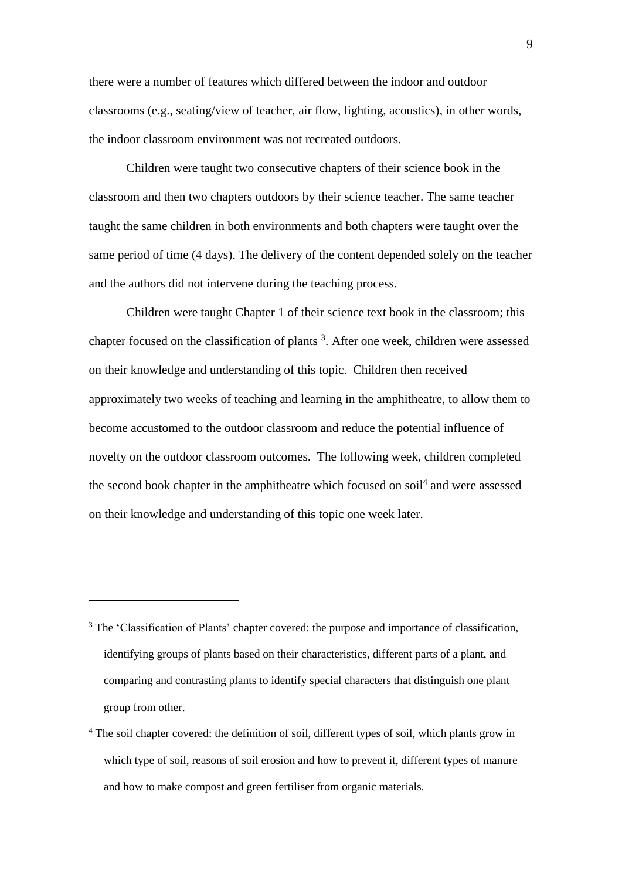there were a number of features which differed between the indoor and outdoor classrooms (e.g., seating/view of teacher, air flow, lighting, acoustics), in other words, the indoor classroom environment was not recreated outdoors.

Children were taught two consecutive chapters of their science book in the classroom and then two chapters outdoors by their science teacher. The same teacher taught the same children in both environments and both chapters were taught over the same period of time (4 days). The delivery of the content depended solely on the teacher and the authors did not intervene during the teaching process.

Children were taught Chapter 1 of their science text book in the classroom; this chapter focused on the classification of plants<sup>3</sup>. After one week, children were assessed on their knowledge and understanding of this topic. Children then received approximately two weeks of teaching and learning in the amphitheatre, to allow them to become accustomed to the outdoor classroom and reduce the potential influence of novelty on the outdoor classroom outcomes. The following week, children completed the second book chapter in the amphitheatre which focused on soil<sup>4</sup> and were assessed on their knowledge and understanding of this topic one week later.

-

<sup>&</sup>lt;sup>3</sup> The 'Classification of Plants' chapter covered: the purpose and importance of classification, identifying groups of plants based on their characteristics, different parts of a plant, and comparing and contrasting plants to identify special characters that distinguish one plant group from other.

<sup>&</sup>lt;sup>4</sup> The soil chapter covered: the definition of soil, different types of soil, which plants grow in which type of soil, reasons of soil erosion and how to prevent it, different types of manure and how to make compost and green fertiliser from organic materials.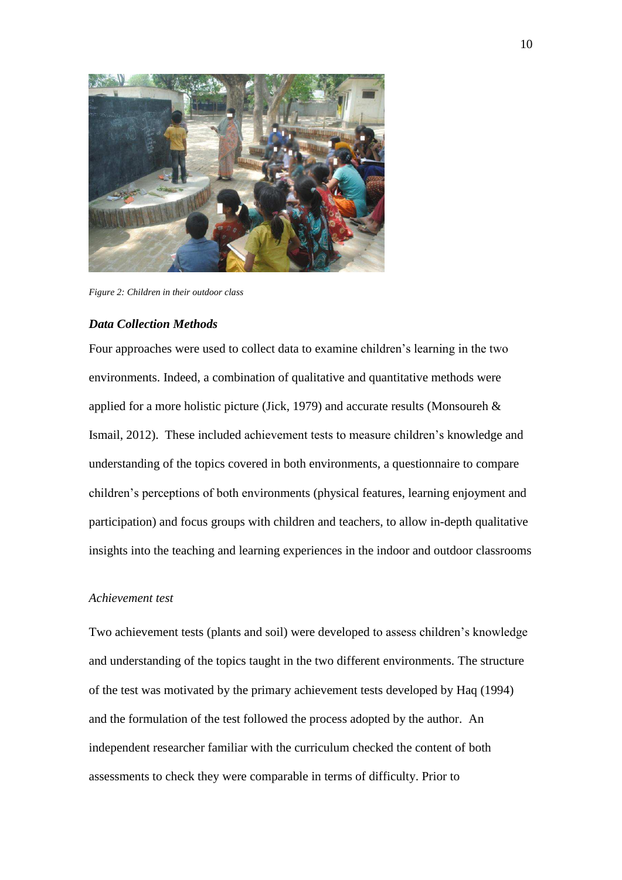

*Figure 2: Children in their outdoor class* 

#### *Data Collection Methods*

Four approaches were used to collect data to examine children's learning in the two environments. Indeed, a combination of qualitative and quantitative methods were applied for a more holistic picture (Jick, 1979) and accurate results (Monsoureh  $\&$ Ismail, 2012). These included achievement tests to measure children's knowledge and understanding of the topics covered in both environments, a questionnaire to compare children's perceptions of both environments (physical features, learning enjoyment and participation) and focus groups with children and teachers, to allow in-depth qualitative insights into the teaching and learning experiences in the indoor and outdoor classrooms

#### *Achievement test*

Two achievement tests (plants and soil) were developed to assess children's knowledge and understanding of the topics taught in the two different environments. The structure of the test was motivated by the primary achievement tests developed by Haq (1994) and the formulation of the test followed the process adopted by the author. An independent researcher familiar with the curriculum checked the content of both assessments to check they were comparable in terms of difficulty. Prior to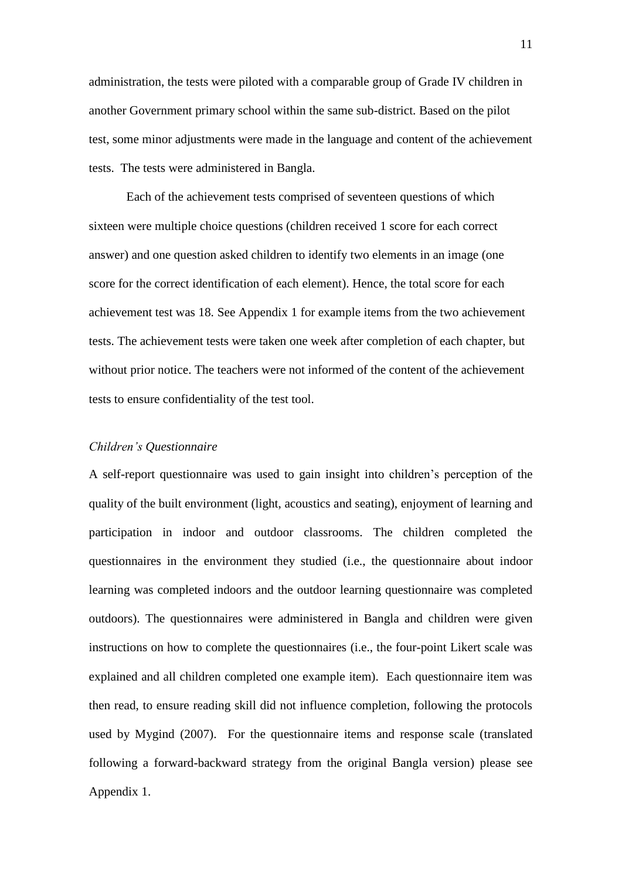administration, the tests were piloted with a comparable group of Grade IV children in another Government primary school within the same sub-district. Based on the pilot test, some minor adjustments were made in the language and content of the achievement tests. The tests were administered in Bangla.

Each of the achievement tests comprised of seventeen questions of which sixteen were multiple choice questions (children received 1 score for each correct answer) and one question asked children to identify two elements in an image (one score for the correct identification of each element). Hence, the total score for each achievement test was 18. See Appendix 1 for example items from the two achievement tests. The achievement tests were taken one week after completion of each chapter, but without prior notice. The teachers were not informed of the content of the achievement tests to ensure confidentiality of the test tool.

#### *Children's Questionnaire*

A self-report questionnaire was used to gain insight into children's perception of the quality of the built environment (light, acoustics and seating), enjoyment of learning and participation in indoor and outdoor classrooms. The children completed the questionnaires in the environment they studied (i.e., the questionnaire about indoor learning was completed indoors and the outdoor learning questionnaire was completed outdoors). The questionnaires were administered in Bangla and children were given instructions on how to complete the questionnaires (i.e., the four-point Likert scale was explained and all children completed one example item). Each questionnaire item was then read, to ensure reading skill did not influence completion, following the protocols used by Mygind (2007). For the questionnaire items and response scale (translated following a forward-backward strategy from the original Bangla version) please see Appendix 1.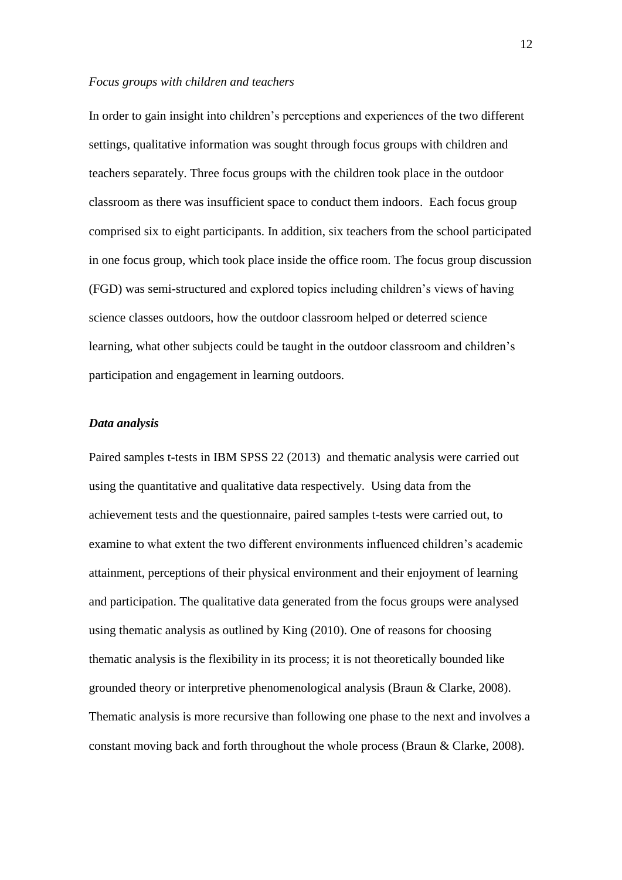# *Focus groups with children and teachers*

In order to gain insight into children's perceptions and experiences of the two different settings, qualitative information was sought through focus groups with children and teachers separately. Three focus groups with the children took place in the outdoor classroom as there was insufficient space to conduct them indoors. Each focus group comprised six to eight participants. In addition, six teachers from the school participated in one focus group, which took place inside the office room. The focus group discussion (FGD) was semi-structured and explored topics including children's views of having science classes outdoors, how the outdoor classroom helped or deterred science learning, what other subjects could be taught in the outdoor classroom and children's participation and engagement in learning outdoors.

# *Data analysis*

Paired samples t-tests in IBM SPSS 22 (2013) and thematic analysis were carried out using the quantitative and qualitative data respectively. Using data from the achievement tests and the questionnaire, paired samples t-tests were carried out, to examine to what extent the two different environments influenced children's academic attainment, perceptions of their physical environment and their enjoyment of learning and participation. The qualitative data generated from the focus groups were analysed using thematic analysis as outlined by King (2010). One of reasons for choosing thematic analysis is the flexibility in its process; it is not theoretically bounded like grounded theory or interpretive phenomenological analysis (Braun & Clarke, 2008). Thematic analysis is more recursive than following one phase to the next and involves a constant moving back and forth throughout the whole process (Braun & Clarke, 2008).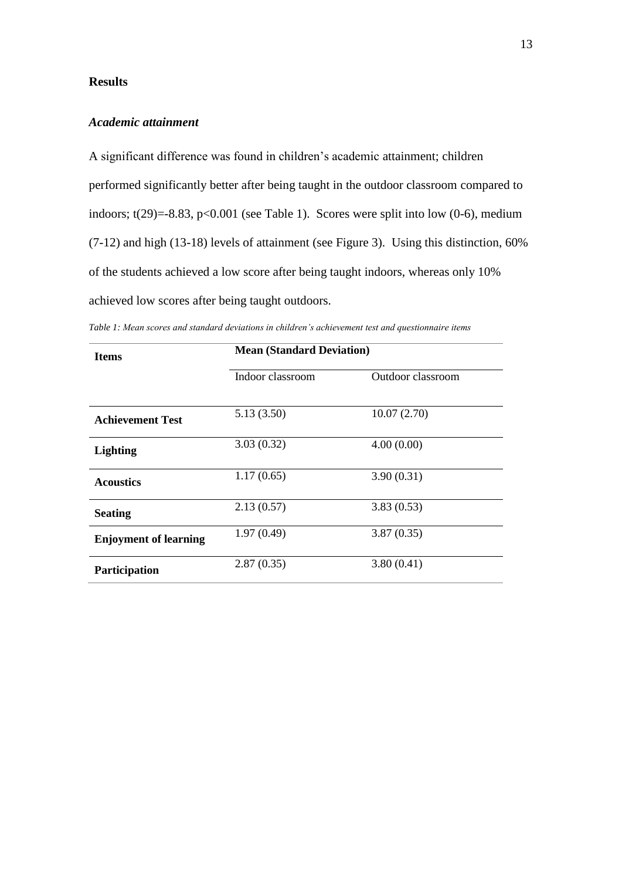# **Results**

# *Academic attainment*

A significant difference was found in children's academic attainment; children performed significantly better after being taught in the outdoor classroom compared to indoors;  $t(29)=8.83$ ,  $p<0.001$  (see [Table 1\)](#page-13-0). Scores were split into low (0-6), medium (7-12) and high (13-18) levels of attainment (see Figure 3). Using this distinction, 60% of the students achieved a low score after being taught indoors, whereas only 10% achieved low scores after being taught outdoors.

| <b>Items</b>                 | <b>Mean (Standard Deviation)</b> |                   |
|------------------------------|----------------------------------|-------------------|
|                              | Indoor classroom                 | Outdoor classroom |
|                              | 5.13 (3.50)                      | 10.07(2.70)       |
| <b>Achievement Test</b>      |                                  |                   |
| <b>Lighting</b>              | 3.03(0.32)                       | 4.00(0.00)        |
| <b>Acoustics</b>             | 1.17(0.65)                       | 3.90(0.31)        |
| <b>Seating</b>               | 2.13(0.57)                       | 3.83(0.53)        |
| <b>Enjoyment of learning</b> | 1.97(0.49)                       | 3.87(0.35)        |
| Participation                | 2.87(0.35)                       | 3.80(0.41)        |

<span id="page-13-0"></span>*Table 1: Mean scores and standard deviations in children's achievement test and questionnaire items*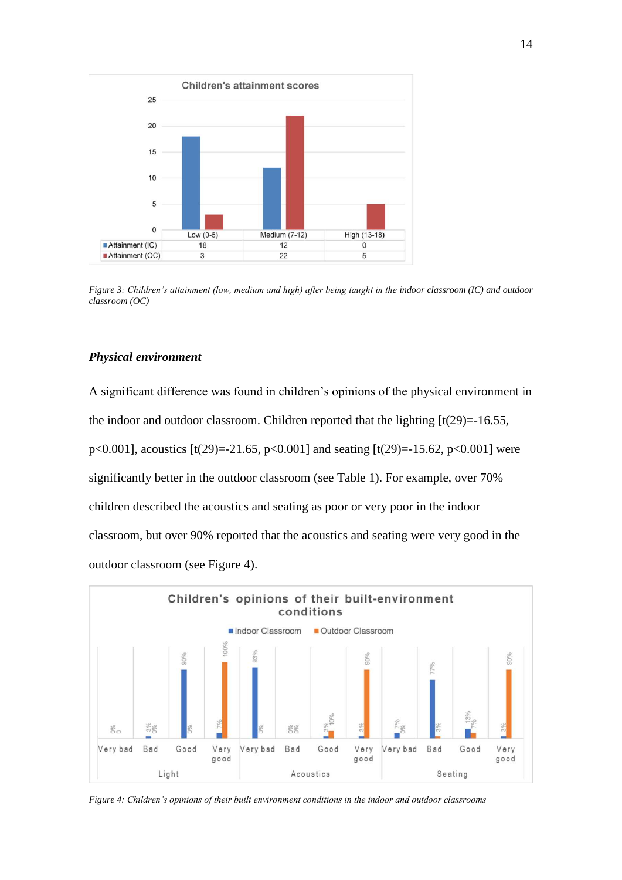

*Figure 3: Children's attainment (low, medium and high) after being taught in the indoor classroom (IC) and outdoor classroom (OC)*

#### *Physical environment*

A significant difference was found in children's opinions of the physical environment in the indoor and outdoor classroom. Children reported that the lighting  $[t(29)=16.55,$ p<0.001], acoustics [t(29)=-21.65, p<0.001] and seating [t(29)=-15.62, p<0.001] were significantly better in the outdoor classroom (see Table 1). For example, over 70% children described the acoustics and seating as poor or very poor in the indoor classroom, but over 90% reported that the acoustics and seating were very good in the outdoor classroom (see Figure 4).



*Figure 4: Children's opinions of their built environment conditions in the indoor and outdoor classrooms*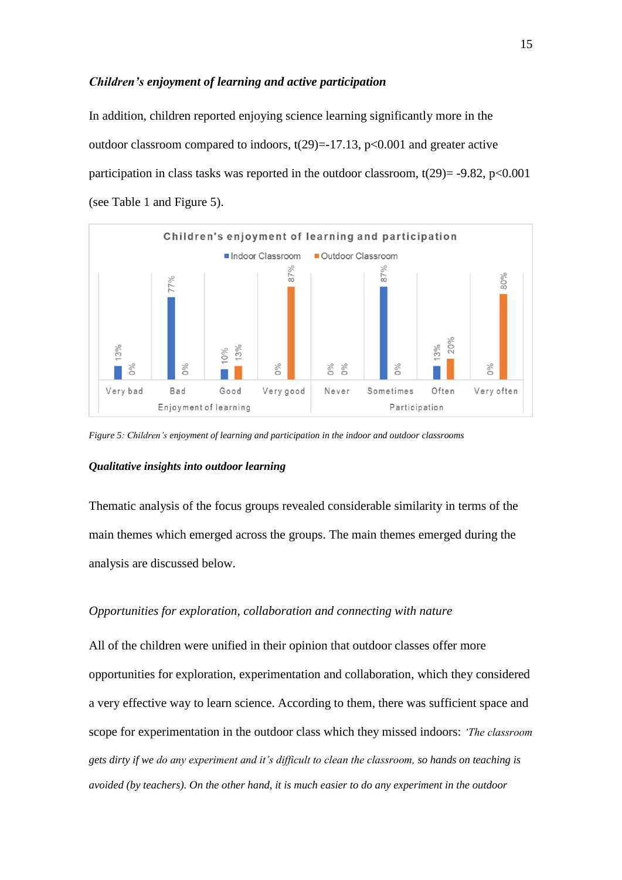#### *Children's enjoyment of learning and active participation*

In addition, children reported enjoying science learning significantly more in the outdoor classroom compared to indoors,  $t(29)=-17.13$ ,  $p<0.001$  and greater active participation in class tasks was reported in the outdoor classroom,  $t(29)= -9.82$ ,  $p<0.001$ (see Table 1 and Figure 5).



*Figure 5: Children's enjoyment of learning and participation in the indoor and outdoor classrooms* 

#### *Qualitative insights into outdoor learning*

Thematic analysis of the focus groups revealed considerable similarity in terms of the main themes which emerged across the groups. The main themes emerged during the analysis are discussed below.

# *Opportunities for exploration, collaboration and connecting with nature*

All of the children were unified in their opinion that outdoor classes offer more opportunities for exploration, experimentation and collaboration, which they considered a very effective way to learn science. According to them, there was sufficient space and scope for experimentation in the outdoor class which they missed indoors: *'The classroom gets dirty if we do any experiment and it's difficult to clean the classroom, so hands on teaching is avoided (by teachers). On the other hand, it is much easier to do any experiment in the outdoor*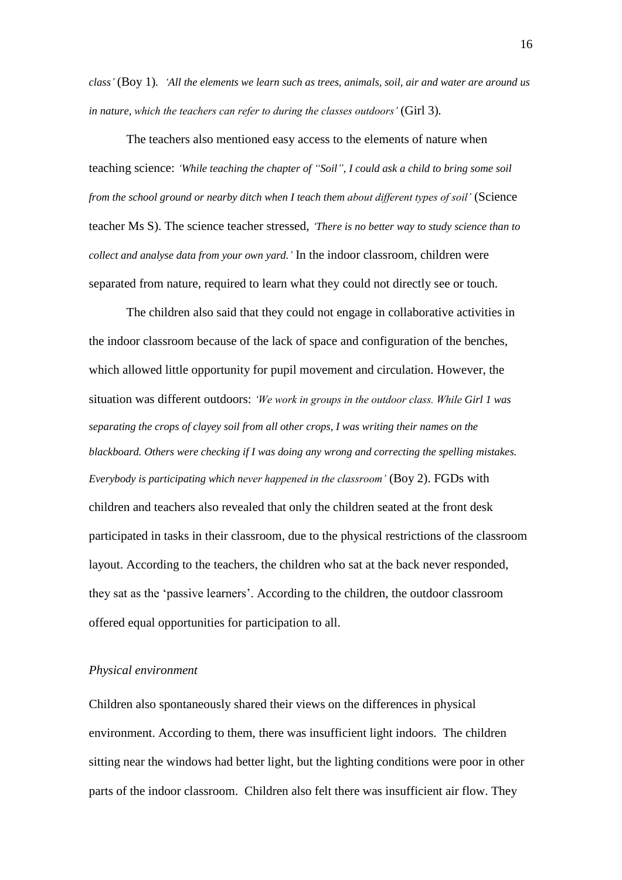*class'* (Boy 1)*. 'All the elements we learn such as trees, animals, soil, air and water are around us in nature, which the teachers can refer to during the classes outdoors'* (Girl 3)*.*

The teachers also mentioned easy access to the elements of nature when teaching science: *'While teaching the chapter of "Soil", I could ask a child to bring some soil from the school ground or nearby ditch when I teach them about different types of soil'* (Science teacher Ms S). The science teacher stressed, *'There is no better way to study science than to collect and analyse data from your own yard.'* In the indoor classroom, children were separated from nature, required to learn what they could not directly see or touch.

The children also said that they could not engage in collaborative activities in the indoor classroom because of the lack of space and configuration of the benches, which allowed little opportunity for pupil movement and circulation. However, the situation was different outdoors: *'We work in groups in the outdoor class. While Girl 1 was separating the crops of clayey soil from all other crops, I was writing their names on the blackboard. Others were checking if I was doing any wrong and correcting the spelling mistakes. Everybody is participating which never happened in the classroom'* (Boy 2). FGDs with children and teachers also revealed that only the children seated at the front desk participated in tasks in their classroom, due to the physical restrictions of the classroom layout. According to the teachers, the children who sat at the back never responded, they sat as the 'passive learners'. According to the children, the outdoor classroom offered equal opportunities for participation to all.

# *Physical environment*

Children also spontaneously shared their views on the differences in physical environment. According to them, there was insufficient light indoors. The children sitting near the windows had better light, but the lighting conditions were poor in other parts of the indoor classroom. Children also felt there was insufficient air flow. They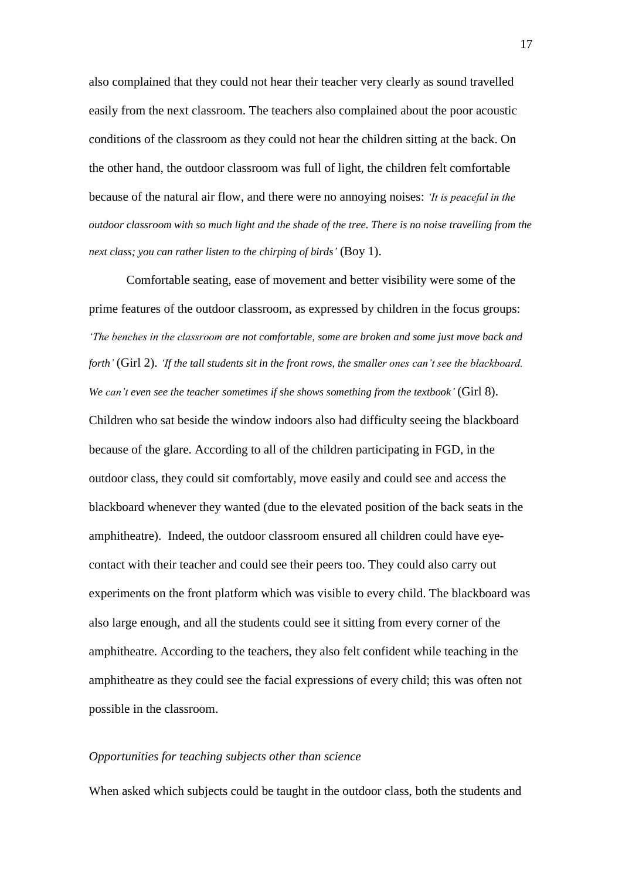also complained that they could not hear their teacher very clearly as sound travelled easily from the next classroom. The teachers also complained about the poor acoustic conditions of the classroom as they could not hear the children sitting at the back. On the other hand, the outdoor classroom was full of light, the children felt comfortable because of the natural air flow, and there were no annoying noises: *'It is peaceful in the outdoor classroom with so much light and the shade of the tree. There is no noise travelling from the next class; you can rather listen to the chirping of birds'* (Boy 1).

Comfortable seating, ease of movement and better visibility were some of the prime features of the outdoor classroom, as expressed by children in the focus groups: *'The benches in the classroom are not comfortable, some are broken and some just move back and forth*<sup>'</sup> (Girl 2). *'If the tall students sit in the front rows, the smaller ones can't see the blackboard. We can't even see the teacher sometimes if she shows something from the textbook'* (Girl 8). Children who sat beside the window indoors also had difficulty seeing the blackboard because of the glare. According to all of the children participating in FGD, in the outdoor class, they could sit comfortably, move easily and could see and access the blackboard whenever they wanted (due to the elevated position of the back seats in the amphitheatre). Indeed, the outdoor classroom ensured all children could have eyecontact with their teacher and could see their peers too. They could also carry out experiments on the front platform which was visible to every child. The blackboard was also large enough, and all the students could see it sitting from every corner of the amphitheatre. According to the teachers, they also felt confident while teaching in the amphitheatre as they could see the facial expressions of every child; this was often not possible in the classroom.

#### *Opportunities for teaching subjects other than science*

When asked which subjects could be taught in the outdoor class, both the students and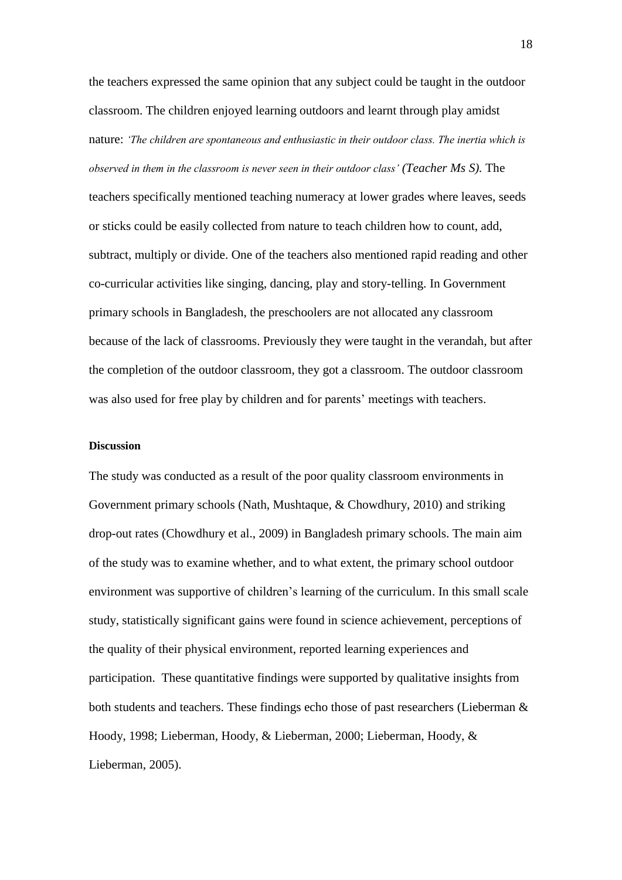the teachers expressed the same opinion that any subject could be taught in the outdoor classroom. The children enjoyed learning outdoors and learnt through play amidst nature: *'The children are spontaneous and enthusiastic in their outdoor class. The inertia which is observed in them in the classroom is never seen in their outdoor class' (Teacher Ms S).* The teachers specifically mentioned teaching numeracy at lower grades where leaves, seeds or sticks could be easily collected from nature to teach children how to count, add, subtract, multiply or divide. One of the teachers also mentioned rapid reading and other co-curricular activities like singing, dancing, play and story-telling. In Government primary schools in Bangladesh, the preschoolers are not allocated any classroom because of the lack of classrooms. Previously they were taught in the verandah, but after the completion of the outdoor classroom, they got a classroom. The outdoor classroom was also used for free play by children and for parents' meetings with teachers.

#### **Discussion**

The study was conducted as a result of the poor quality classroom environments in Government primary schools (Nath, Mushtaque, & Chowdhury, 2010) and striking drop-out rates (Chowdhury et al., 2009) in Bangladesh primary schools. The main aim of the study was to examine whether, and to what extent, the primary school outdoor environment was supportive of children's learning of the curriculum. In this small scale study, statistically significant gains were found in science achievement, perceptions of the quality of their physical environment, reported learning experiences and participation. These quantitative findings were supported by qualitative insights from both students and teachers. These findings echo those of past researchers (Lieberman & Hoody, 1998; Lieberman, Hoody, & Lieberman, 2000; Lieberman, Hoody, & Lieberman, 2005).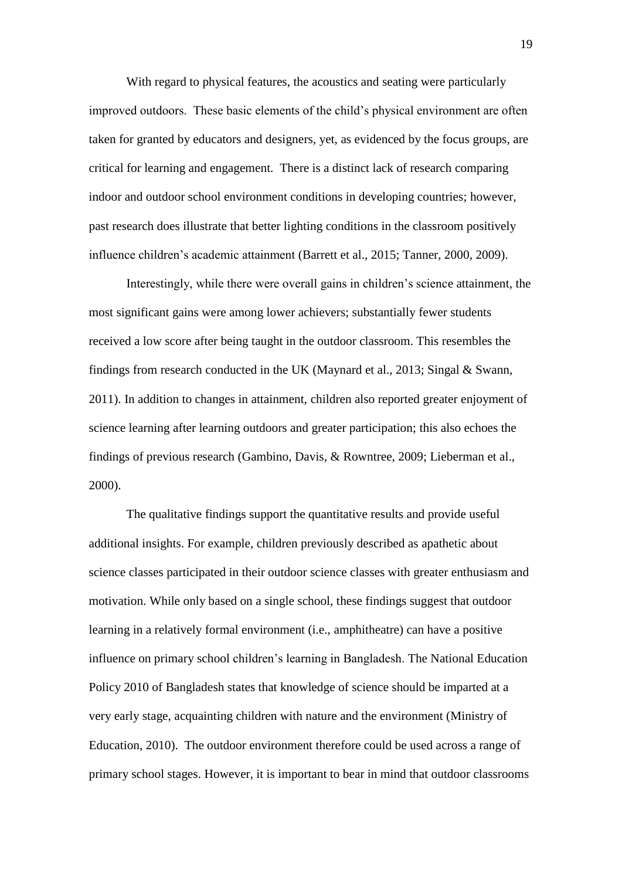With regard to physical features, the acoustics and seating were particularly improved outdoors. These basic elements of the child's physical environment are often taken for granted by educators and designers, yet, as evidenced by the focus groups, are critical for learning and engagement. There is a distinct lack of research comparing indoor and outdoor school environment conditions in developing countries; however, past research does illustrate that better lighting conditions in the classroom positively influence children's academic attainment (Barrett et al., 2015; Tanner, 2000, 2009).

Interestingly, while there were overall gains in children's science attainment, the most significant gains were among lower achievers; substantially fewer students received a low score after being taught in the outdoor classroom. This resembles the findings from research conducted in the UK (Maynard et al., 2013; Singal & Swann, 2011). In addition to changes in attainment, children also reported greater enjoyment of science learning after learning outdoors and greater participation; this also echoes the findings of previous research (Gambino, Davis, & Rowntree, 2009; Lieberman et al., 2000).

The qualitative findings support the quantitative results and provide useful additional insights. For example, children previously described as apathetic about science classes participated in their outdoor science classes with greater enthusiasm and motivation. While only based on a single school, these findings suggest that outdoor learning in a relatively formal environment (i.e., amphitheatre) can have a positive influence on primary school children's learning in Bangladesh. The National Education Policy 2010 of Bangladesh states that knowledge of science should be imparted at a very early stage, acquainting children with nature and the environment (Ministry of Education, 2010). The outdoor environment therefore could be used across a range of primary school stages. However, it is important to bear in mind that outdoor classrooms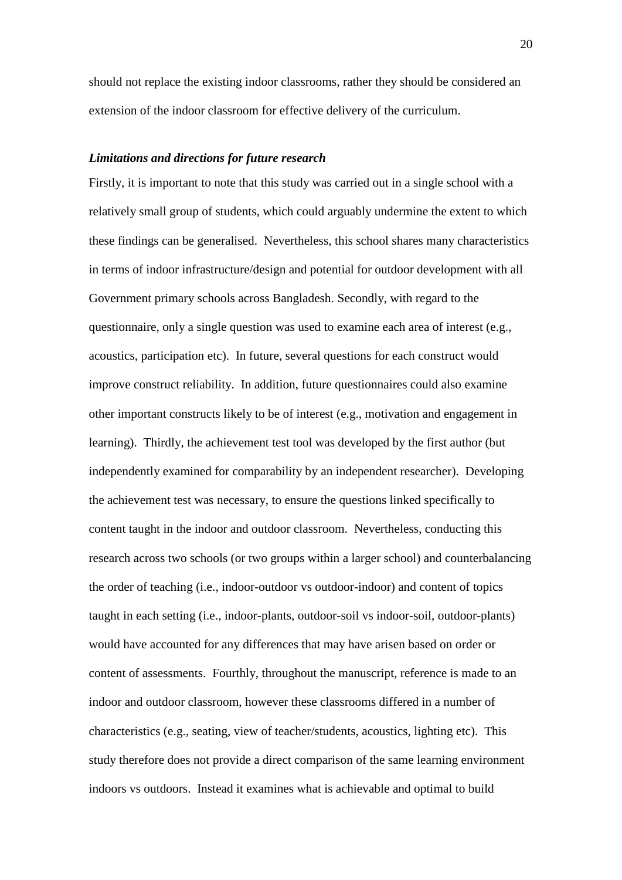should not replace the existing indoor classrooms, rather they should be considered an extension of the indoor classroom for effective delivery of the curriculum.

#### *Limitations and directions for future research*

Firstly, it is important to note that this study was carried out in a single school with a relatively small group of students, which could arguably undermine the extent to which these findings can be generalised. Nevertheless, this school shares many characteristics in terms of indoor infrastructure/design and potential for outdoor development with all Government primary schools across Bangladesh. Secondly, with regard to the questionnaire, only a single question was used to examine each area of interest (e.g., acoustics, participation etc). In future, several questions for each construct would improve construct reliability. In addition, future questionnaires could also examine other important constructs likely to be of interest (e.g., motivation and engagement in learning). Thirdly, the achievement test tool was developed by the first author (but independently examined for comparability by an independent researcher). Developing the achievement test was necessary, to ensure the questions linked specifically to content taught in the indoor and outdoor classroom. Nevertheless, conducting this research across two schools (or two groups within a larger school) and counterbalancing the order of teaching (i.e., indoor-outdoor vs outdoor-indoor) and content of topics taught in each setting (i.e., indoor-plants, outdoor-soil vs indoor-soil, outdoor-plants) would have accounted for any differences that may have arisen based on order or content of assessments. Fourthly, throughout the manuscript, reference is made to an indoor and outdoor classroom, however these classrooms differed in a number of characteristics (e.g., seating, view of teacher/students, acoustics, lighting etc). This study therefore does not provide a direct comparison of the same learning environment indoors vs outdoors. Instead it examines what is achievable and optimal to build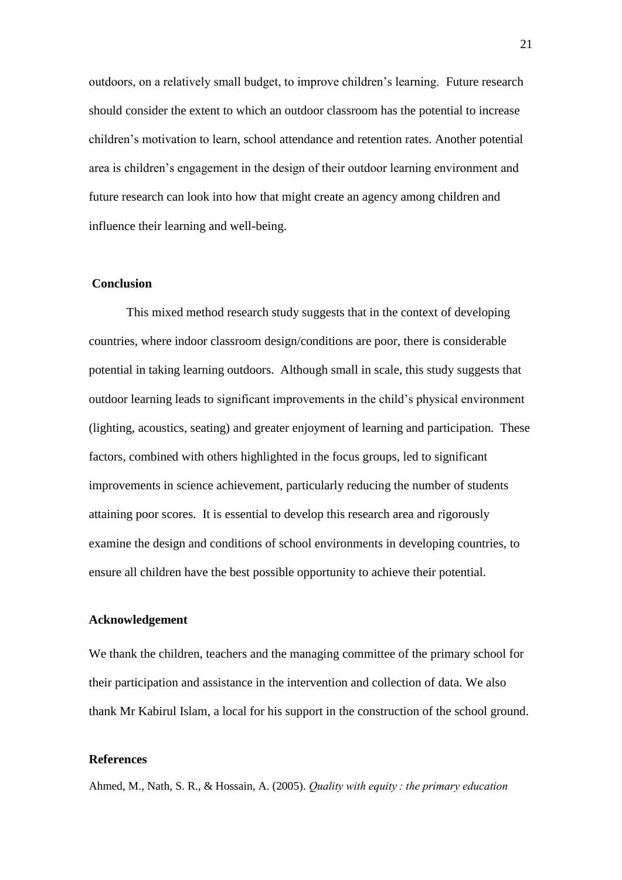outdoors, on a relatively small budget, to improve children's learning. Future research should consider the extent to which an outdoor classroom has the potential to increase children's motivation to learn, school attendance and retention rates. Another potential area is children's engagement in the design of their outdoor learning environment and future research can look into how that might create an agency among children and influence their learning and well-being.

# **Conclusion**

This mixed method research study suggests that in the context of developing countries, where indoor classroom design/conditions are poor, there is considerable potential in taking learning outdoors. Although small in scale, this study suggests that outdoor learning leads to significant improvements in the child's physical environment (lighting, acoustics, seating) and greater enjoyment of learning and participation. These factors, combined with others highlighted in the focus groups, led to significant improvements in science achievement, particularly reducing the number of students attaining poor scores. It is essential to develop this research area and rigorously examine the design and conditions of school environments in developing countries, to ensure all children have the best possible opportunity to achieve their potential.

#### **Acknowledgement**

We thank the children, teachers and the managing committee of the primary school for their participation and assistance in the intervention and collection of data. We also thank Mr Kabirul Islam, a local for his support in the construction of the school ground.

# **References**

Ahmed, M., Nath, S. R., & Hossain, A. (2005). *Quality with equity : the primary education* 

21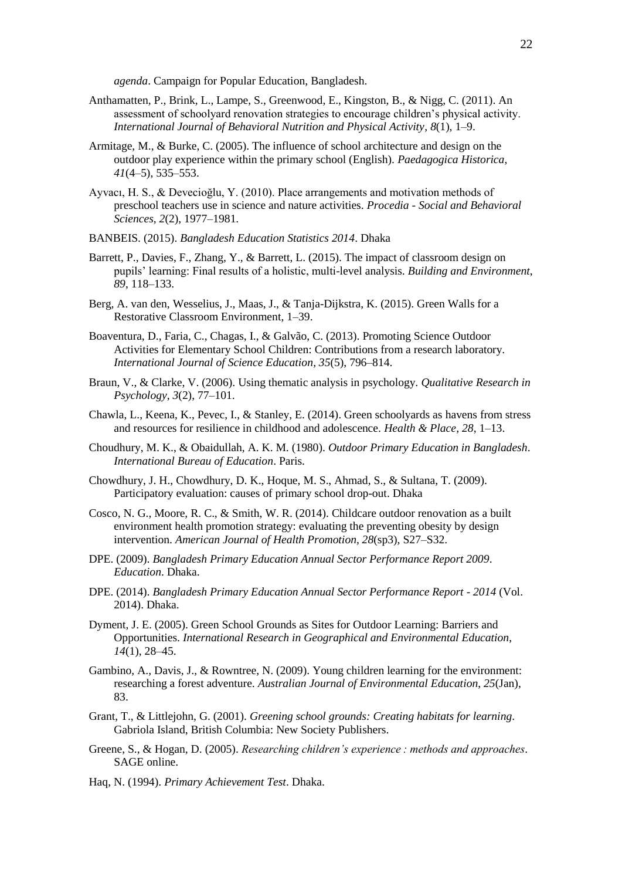*agenda*. Campaign for Popular Education, Bangladesh.

- Anthamatten, P., Brink, L., Lampe, S., Greenwood, E., Kingston, B., & Nigg, C. (2011). An assessment of schoolyard renovation strategies to encourage children's physical activity. *International Journal of Behavioral Nutrition and Physical Activity*, *8*(1), 1–9.
- Armitage, M., & Burke, C. (2005). The influence of school architecture and design on the outdoor play experience within the primary school (English). *Paedagogica Historica*, *41*(4–5), 535–553.
- Ayvacı, H. S., & Devecioğlu, Y. (2010). Place arrangements and motivation methods of preschool teachers use in science and nature activities. *Procedia - Social and Behavioral Sciences*, *2*(2), 1977–1981.
- BANBEIS. (2015). *Bangladesh Education Statistics 2014*. Dhaka
- Barrett, P., Davies, F., Zhang, Y., & Barrett, L. (2015). The impact of classroom design on pupils' learning: Final results of a holistic, multi-level analysis. *Building and Environment*, *89*, 118–133.
- Berg, A. van den, Wesselius, J., Maas, J., & Tanja-Dijkstra, K. (2015). Green Walls for a Restorative Classroom Environment, 1–39.
- Boaventura, D., Faria, C., Chagas, I., & Galvão, C. (2013). Promoting Science Outdoor Activities for Elementary School Children: Contributions from a research laboratory. *International Journal of Science Education*, *35*(5), 796–814.
- Braun, V., & Clarke, V. (2006). Using thematic analysis in psychology. *Qualitative Research in Psychology*, *3*(2), 77–101.
- Chawla, L., Keena, K., Pevec, I., & Stanley, E. (2014). Green schoolyards as havens from stress and resources for resilience in childhood and adolescence. *Health & Place*, *28*, 1–13.
- Choudhury, M. K., & Obaidullah, A. K. M. (1980). *Outdoor Primary Education in Bangladesh*. *International Bureau of Education*. Paris.
- Chowdhury, J. H., Chowdhury, D. K., Hoque, M. S., Ahmad, S., & Sultana, T. (2009). Participatory evaluation: causes of primary school drop-out. Dhaka
- Cosco, N. G., Moore, R. C., & Smith, W. R. (2014). Childcare outdoor renovation as a built environment health promotion strategy: evaluating the preventing obesity by design intervention. *American Journal of Health Promotion*, *28*(sp3), S27–S32.
- DPE. (2009). *Bangladesh Primary Education Annual Sector Performance Report 2009*. *Education*. Dhaka.
- DPE. (2014). *Bangladesh Primary Education Annual Sector Performance Report 2014* (Vol. 2014). Dhaka.
- Dyment, J. E. (2005). Green School Grounds as Sites for Outdoor Learning: Barriers and Opportunities. *International Research in Geographical and Environmental Education*, *14*(1), 28–45.
- Gambino, A., Davis, J., & Rowntree, N. (2009). Young children learning for the environment: researching a forest adventure. *Australian Journal of Environmental Education*, *25*(Jan), 83.
- Grant, T., & Littlejohn, G. (2001). *Greening school grounds: Creating habitats for learning*. Gabriola Island, British Columbia: New Society Publishers.
- Greene, S., & Hogan, D. (2005). *Researching children's experience : methods and approaches*. SAGE online.
- Haq, N. (1994). *Primary Achievement Test*. Dhaka.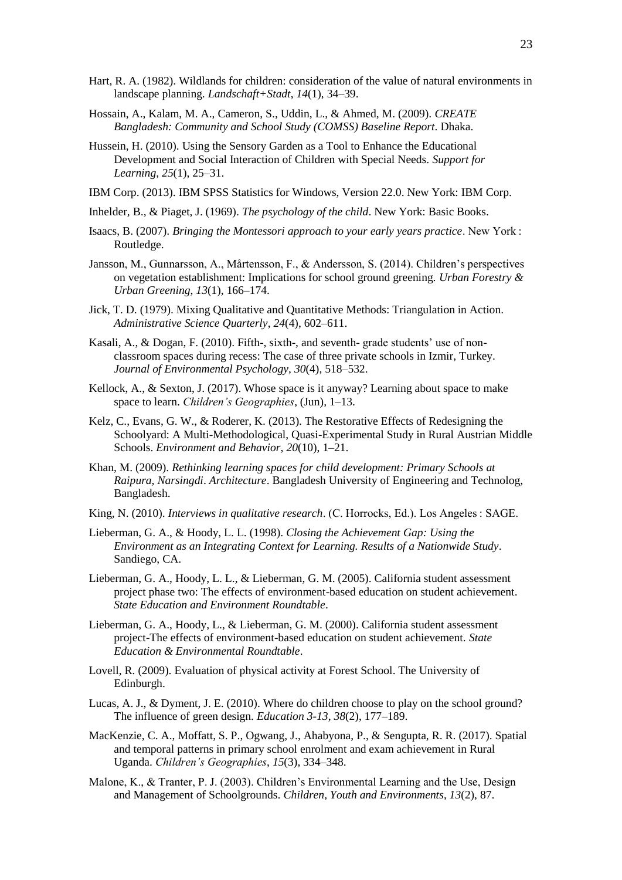- Hart, R. A. (1982). Wildlands for children: consideration of the value of natural environments in landscape planning. *Landschaft+Stadt*, *14*(1), 34–39.
- Hossain, A., Kalam, M. A., Cameron, S., Uddin, L., & Ahmed, M. (2009). *CREATE Bangladesh: Community and School Study (COMSS) Baseline Report*. Dhaka.
- Hussein, H. (2010). Using the Sensory Garden as a Tool to Enhance the Educational Development and Social Interaction of Children with Special Needs. *Support for Learning*, *25*(1), 25–31.
- IBM Corp. (2013). IBM SPSS Statistics for Windows, Version 22.0. New York: IBM Corp.
- Inhelder, B., & Piaget, J. (1969). *The psychology of the child*. New York: Basic Books.
- Isaacs, B. (2007). *Bringing the Montessori approach to your early years practice*. New York : Routledge.
- Jansson, M., Gunnarsson, A., Mårtensson, F., & Andersson, S. (2014). Children's perspectives on vegetation establishment: Implications for school ground greening. *Urban Forestry & Urban Greening*, *13*(1), 166–174.
- Jick, T. D. (1979). Mixing Qualitative and Quantitative Methods: Triangulation in Action. *Administrative Science Quarterly*, *24*(4), 602–611.
- Kasali, A., & Dogan, F. (2010). Fifth-, sixth-, and seventh- grade students' use of nonclassroom spaces during recess: The case of three private schools in Izmir, Turkey. *Journal of Environmental Psychology*, *30*(4), 518–532.
- Kellock, A., & Sexton, J. (2017). Whose space is it anyway? Learning about space to make space to learn. *Children's Geographies*, (Jun), 1–13.
- Kelz, C., Evans, G. W., & Roderer, K. (2013). The Restorative Effects of Redesigning the Schoolyard: A Multi-Methodological, Quasi-Experimental Study in Rural Austrian Middle Schools. *Environment and Behavior*, *20*(10), 1–21.
- Khan, M. (2009). *Rethinking learning spaces for child development: Primary Schools at Raipura, Narsingdi*. *Architecture*. Bangladesh University of Engineering and Technolog, Bangladesh.
- King, N. (2010). *Interviews in qualitative research*. (C. Horrocks, Ed.). Los Angeles : SAGE.
- Lieberman, G. A., & Hoody, L. L. (1998). *Closing the Achievement Gap: Using the Environment as an Integrating Context for Learning. Results of a Nationwide Study*. Sandiego, CA.
- Lieberman, G. A., Hoody, L. L., & Lieberman, G. M. (2005). California student assessment project phase two: The effects of environment-based education on student achievement. *State Education and Environment Roundtable*.
- Lieberman, G. A., Hoody, L., & Lieberman, G. M. (2000). California student assessment project-The effects of environment-based education on student achievement. *State Education & Environmental Roundtable*.
- Lovell, R. (2009). Evaluation of physical activity at Forest School. The University of Edinburgh.
- Lucas, A. J., & Dyment, J. E. (2010). Where do children choose to play on the school ground? The influence of green design. *Education 3-13*, *38*(2), 177–189.
- MacKenzie, C. A., Moffatt, S. P., Ogwang, J., Ahabyona, P., & Sengupta, R. R. (2017). Spatial and temporal patterns in primary school enrolment and exam achievement in Rural Uganda. *Children's Geographies*, *15*(3), 334–348.
- Malone, K., & Tranter, P. J. (2003). Children's Environmental Learning and the Use, Design and Management of Schoolgrounds. *Children, Youth and Environments*, *13*(2), 87.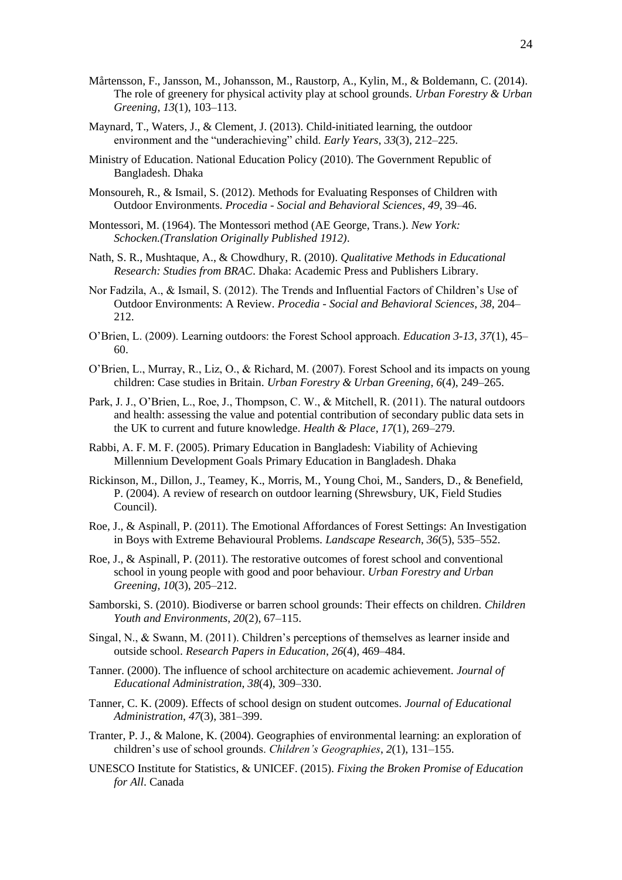- Mårtensson, F., Jansson, M., Johansson, M., Raustorp, A., Kylin, M., & Boldemann, C. (2014). The role of greenery for physical activity play at school grounds. *Urban Forestry & Urban Greening*, *13*(1), 103–113.
- Maynard, T., Waters, J., & Clement, J. (2013). Child-initiated learning, the outdoor environment and the "underachieving" child. *Early Years*, *33*(3), 212–225.
- Ministry of Education. National Education Policy (2010). The Government Republic of Bangladesh. Dhaka
- Monsoureh, R., & Ismail, S. (2012). Methods for Evaluating Responses of Children with Outdoor Environments. *Procedia - Social and Behavioral Sciences*, *49*, 39–46.
- Montessori, M. (1964). The Montessori method (AE George, Trans.). *New York: Schocken.(Translation Originally Published 1912)*.
- Nath, S. R., Mushtaque, A., & Chowdhury, R. (2010). *Qualitative Methods in Educational Research: Studies from BRAC*. Dhaka: Academic Press and Publishers Library.
- Nor Fadzila, A., & Ismail, S. (2012). The Trends and Influential Factors of Children's Use of Outdoor Environments: A Review. *Procedia - Social and Behavioral Sciences*, *38*, 204– 212.
- O'Brien, L. (2009). Learning outdoors: the Forest School approach. *Education 3-13*, *37*(1), 45– 60.
- O'Brien, L., Murray, R., Liz, O., & Richard, M. (2007). Forest School and its impacts on young children: Case studies in Britain. *Urban Forestry & Urban Greening*, *6*(4), 249–265.
- Park, J. J., O'Brien, L., Roe, J., Thompson, C. W., & Mitchell, R. (2011). The natural outdoors and health: assessing the value and potential contribution of secondary public data sets in the UK to current and future knowledge. *Health & Place*, *17*(1), 269–279.
- Rabbi, A. F. M. F. (2005). Primary Education in Bangladesh: Viability of Achieving Millennium Development Goals Primary Education in Bangladesh. Dhaka
- Rickinson, M., Dillon, J., Teamey, K., Morris, M., Young Choi, M., Sanders, D., & Benefield, P. (2004). A review of research on outdoor learning (Shrewsbury, UK, Field Studies Council).
- Roe, J., & Aspinall, P. (2011). The Emotional Affordances of Forest Settings: An Investigation in Boys with Extreme Behavioural Problems. *Landscape Research*, *36*(5), 535–552.
- Roe, J., & Aspinall, P. (2011). The restorative outcomes of forest school and conventional school in young people with good and poor behaviour. *Urban Forestry and Urban Greening*, *10*(3), 205–212.
- Samborski, S. (2010). Biodiverse or barren school grounds: Their effects on children. *Children Youth and Environments*, *20*(2), 67–115.
- Singal, N., & Swann, M. (2011). Children's perceptions of themselves as learner inside and outside school. *Research Papers in Education*, *26*(4), 469–484.
- Tanner. (2000). The influence of school architecture on academic achievement. *Journal of Educational Administration*, *38*(4), 309–330.
- Tanner, C. K. (2009). Effects of school design on student outcomes. *Journal of Educational Administration*, *47*(3), 381–399.
- Tranter, P. J., & Malone, K. (2004). Geographies of environmental learning: an exploration of children's use of school grounds. *Children's Geographies*, *2*(1), 131–155.
- UNESCO Institute for Statistics, & UNICEF. (2015). *Fixing the Broken Promise of Education for All*. Canada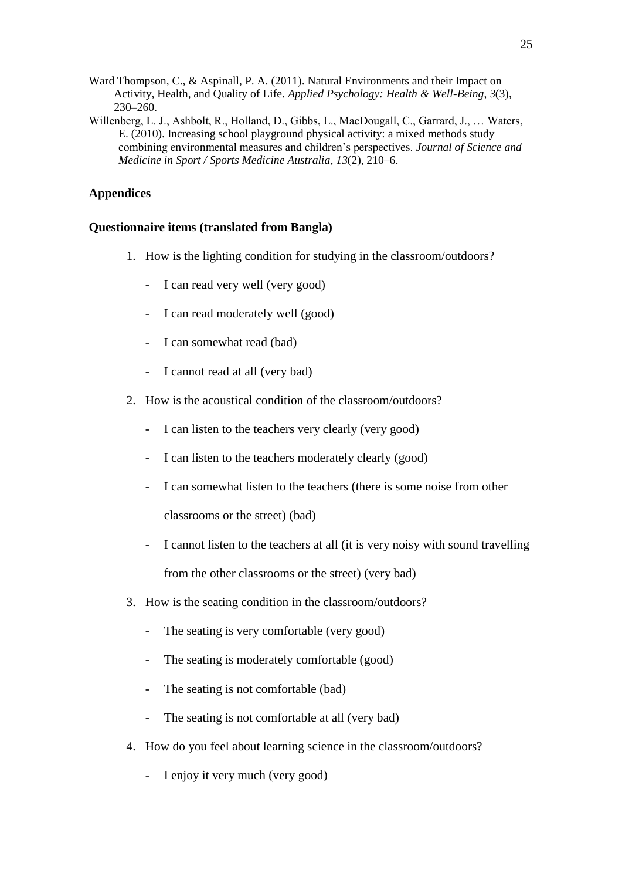Ward Thompson, C., & Aspinall, P. A. (2011). Natural Environments and their Impact on Activity, Health, and Quality of Life. *Applied Psychology: Health & Well-Being*, *3*(3), 230–260.

Willenberg, L. J., Ashbolt, R., Holland, D., Gibbs, L., MacDougall, C., Garrard, J., … Waters, E. (2010). Increasing school playground physical activity: a mixed methods study combining environmental measures and children's perspectives. *Journal of Science and Medicine in Sport / Sports Medicine Australia*, *13*(2), 210–6.

# **Appendices**

# **Questionnaire items (translated from Bangla)**

- 1. How is the lighting condition for studying in the classroom/outdoors?
	- I can read very well (very good)
	- I can read moderately well (good)
	- I can somewhat read (bad)
	- I cannot read at all (very bad)
- 2. How is the acoustical condition of the classroom/outdoors?
	- I can listen to the teachers very clearly (very good)
	- I can listen to the teachers moderately clearly (good)
	- I can somewhat listen to the teachers (there is some noise from other classrooms or the street) (bad)
	- I cannot listen to the teachers at all (it is very noisy with sound travelling

from the other classrooms or the street) (very bad)

- 3. How is the seating condition in the classroom/outdoors?
	- The seating is very comfortable (very good)
	- The seating is moderately comfortable (good)
	- The seating is not comfortable (bad)
	- The seating is not comfortable at all (very bad)
- 4. How do you feel about learning science in the classroom/outdoors?
	- I enjoy it very much (very good)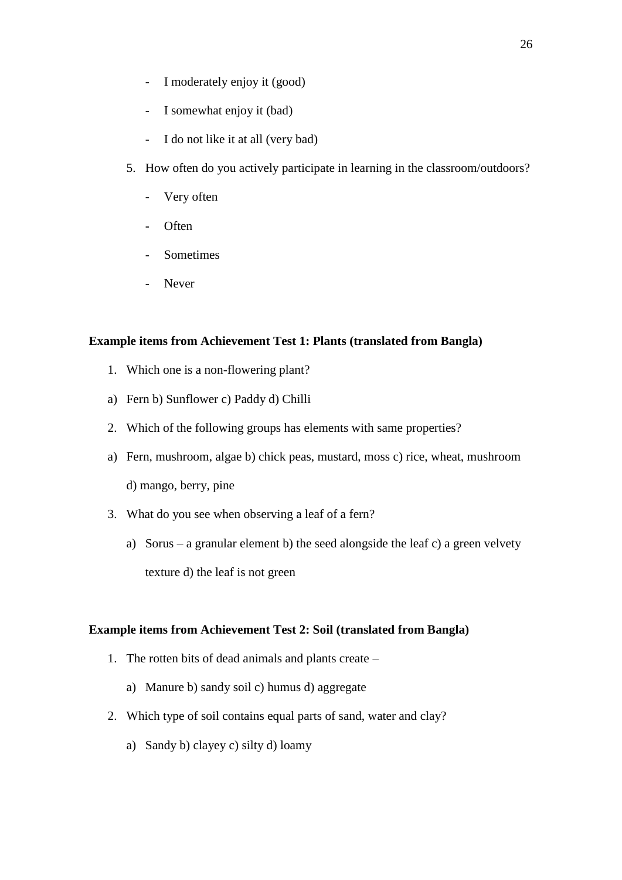- I moderately enjoy it (good)
- I somewhat enjoy it (bad)
- I do not like it at all (very bad)
- 5. How often do you actively participate in learning in the classroom/outdoors?
	- Very often
	- Often
	- Sometimes
	- Never

# **Example items from Achievement Test 1: Plants (translated from Bangla)**

- 1. Which one is a non-flowering plant?
- a) Fern b) Sunflower c) Paddy d) Chilli
- 2. Which of the following groups has elements with same properties?
- a) Fern, mushroom, algae b) chick peas, mustard, moss c) rice, wheat, mushroom d) mango, berry, pine
- 3. What do you see when observing a leaf of a fern?
	- a) Sorus a granular element b) the seed alongside the leaf c) a green velvety texture d) the leaf is not green

#### **Example items from Achievement Test 2: Soil (translated from Bangla)**

- 1. The rotten bits of dead animals and plants create
	- a) Manure b) sandy soil c) humus d) aggregate
- 2. Which type of soil contains equal parts of sand, water and clay?
	- a) Sandy b) clayey c) silty d) loamy